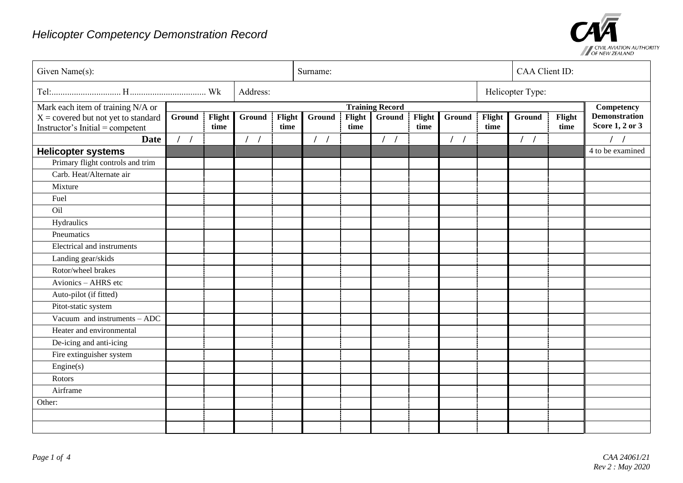

| Given Name(s):                        |        | Surname: |          |        | CAA Client ID: |               |                        |        |               |        |                  |        |                      |  |
|---------------------------------------|--------|----------|----------|--------|----------------|---------------|------------------------|--------|---------------|--------|------------------|--------|----------------------|--|
|                                       |        |          | Address: |        |                |               |                        |        |               |        | Helicopter Type: |        |                      |  |
| Mark each item of training N/A or     |        |          |          |        |                |               | <b>Training Record</b> |        |               |        | Competency       |        |                      |  |
| $X = covered$ but not yet to standard | Ground | Flight   | Ground   | Flight | Ground         | <b>Flight</b> | Ground                 | Flight | Ground        | Flight | Ground           | Flight | <b>Demonstration</b> |  |
| Instructor's Initial = competent      |        | time     |          | time   |                | time          |                        | time   |               | time   |                  | time   | Score 1, 2 or 3      |  |
| <b>Date</b>                           |        |          |          |        | 1 <sup>1</sup> |               | 1 <sup>1</sup>         |        | $\frac{1}{2}$ |        | $\prime$         |        |                      |  |
| <b>Helicopter systems</b>             |        |          |          |        |                |               |                        |        |               |        |                  |        | 4 to be examined     |  |
| Primary flight controls and trim      |        |          |          |        |                |               |                        |        |               |        |                  |        |                      |  |
| Carb. Heat/Alternate air              |        |          |          |        |                |               |                        |        |               |        |                  |        |                      |  |
| Mixture                               |        |          |          |        |                |               |                        |        |               |        |                  |        |                      |  |
| Fuel                                  |        |          |          |        |                |               |                        |        |               |        |                  |        |                      |  |
| Oil                                   |        |          |          |        |                |               |                        |        |               |        |                  |        |                      |  |
| Hydraulics                            |        |          |          |        |                |               |                        |        |               |        |                  |        |                      |  |
| Pneumatics                            |        |          |          |        |                |               |                        |        |               |        |                  |        |                      |  |
| Electrical and instruments            |        |          |          |        |                |               |                        |        |               |        |                  |        |                      |  |
| Landing gear/skids                    |        |          |          |        |                |               |                        |        |               |        |                  |        |                      |  |
| Rotor/wheel brakes                    |        |          |          |        |                |               |                        |        |               |        |                  |        |                      |  |
| Avionics - AHRS etc                   |        |          |          |        |                |               |                        |        |               |        |                  |        |                      |  |
| Auto-pilot (if fitted)                |        |          |          |        |                |               |                        |        |               |        |                  |        |                      |  |
| Pitot-static system                   |        |          |          |        |                |               |                        |        |               |        |                  |        |                      |  |
| Vacuum and instruments - ADC          |        |          |          |        |                |               |                        |        |               |        |                  |        |                      |  |
| Heater and environmental              |        |          |          |        |                |               |                        |        |               |        |                  |        |                      |  |
| De-icing and anti-icing               |        |          |          |        |                |               |                        |        |               |        |                  |        |                      |  |
| Fire extinguisher system              |        |          |          |        |                |               |                        |        |               |        |                  |        |                      |  |
| Engine(s)                             |        |          |          |        |                |               |                        |        |               |        |                  |        |                      |  |
| Rotors                                |        |          |          |        |                |               |                        |        |               |        |                  |        |                      |  |
| Airframe                              |        |          |          |        |                |               |                        |        |               |        |                  |        |                      |  |
| Other:                                |        |          |          |        |                |               |                        |        |               |        |                  |        |                      |  |
|                                       |        |          |          |        |                |               |                        |        |               |        |                  |        |                      |  |
|                                       |        |          |          |        |                |               |                        |        |               |        |                  |        |                      |  |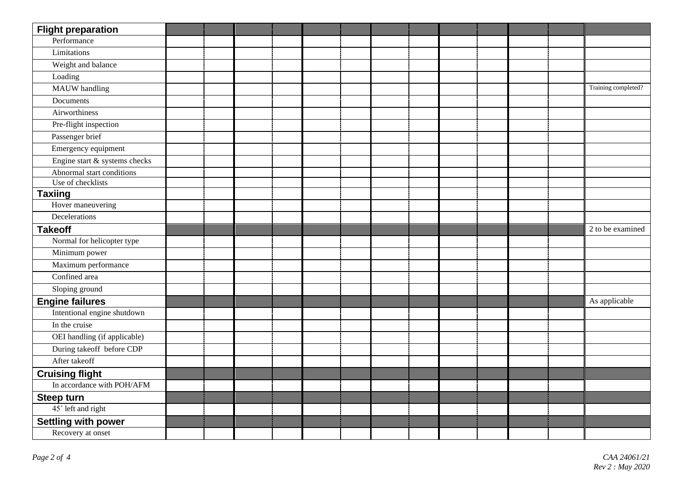| <b>Flight preparation</b>     |  |  |  |  |  |  |                     |
|-------------------------------|--|--|--|--|--|--|---------------------|
| Performance                   |  |  |  |  |  |  |                     |
| Limitations                   |  |  |  |  |  |  |                     |
| Weight and balance            |  |  |  |  |  |  |                     |
| Loading                       |  |  |  |  |  |  |                     |
| MAUW handling                 |  |  |  |  |  |  | Training completed? |
| Documents                     |  |  |  |  |  |  |                     |
| Airworthiness                 |  |  |  |  |  |  |                     |
| Pre-flight inspection         |  |  |  |  |  |  |                     |
| Passenger brief               |  |  |  |  |  |  |                     |
| Emergency equipment           |  |  |  |  |  |  |                     |
| Engine start & systems checks |  |  |  |  |  |  |                     |
| Abnormal start conditions     |  |  |  |  |  |  |                     |
| Use of checklists             |  |  |  |  |  |  |                     |
| <b>Taxiing</b>                |  |  |  |  |  |  |                     |
| Hover maneuvering             |  |  |  |  |  |  |                     |
| Decelerations                 |  |  |  |  |  |  |                     |
| <b>Takeoff</b>                |  |  |  |  |  |  | 2 to be examined    |
| Normal for helicopter type    |  |  |  |  |  |  |                     |
| Minimum power                 |  |  |  |  |  |  |                     |
| Maximum performance           |  |  |  |  |  |  |                     |
| Confined area                 |  |  |  |  |  |  |                     |
| Sloping ground                |  |  |  |  |  |  |                     |
| <b>Engine failures</b>        |  |  |  |  |  |  | As applicable       |
| Intentional engine shutdown   |  |  |  |  |  |  |                     |
| In the cruise                 |  |  |  |  |  |  |                     |
| OEI handling (if applicable)  |  |  |  |  |  |  |                     |
| During takeoff before CDP     |  |  |  |  |  |  |                     |
| After takeoff                 |  |  |  |  |  |  |                     |
| <b>Cruising flight</b>        |  |  |  |  |  |  |                     |
| In accordance with POH/AFM    |  |  |  |  |  |  |                     |
| <b>Steep turn</b>             |  |  |  |  |  |  |                     |
| 45° left and right            |  |  |  |  |  |  |                     |
| <b>Settling with power</b>    |  |  |  |  |  |  |                     |
| Recovery at onset             |  |  |  |  |  |  |                     |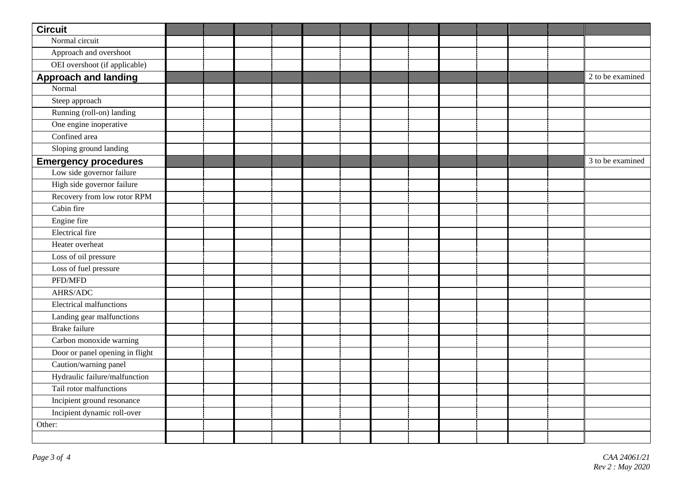| <b>Circuit</b>                  |  |  |  |  |  |  |                  |
|---------------------------------|--|--|--|--|--|--|------------------|
| Normal circuit                  |  |  |  |  |  |  |                  |
| Approach and overshoot          |  |  |  |  |  |  |                  |
| OEI overshoot (if applicable)   |  |  |  |  |  |  |                  |
| <b>Approach and landing</b>     |  |  |  |  |  |  | 2 to be examined |
| Normal                          |  |  |  |  |  |  |                  |
| Steep approach                  |  |  |  |  |  |  |                  |
| Running (roll-on) landing       |  |  |  |  |  |  |                  |
| One engine inoperative          |  |  |  |  |  |  |                  |
| Confined area                   |  |  |  |  |  |  |                  |
| Sloping ground landing          |  |  |  |  |  |  |                  |
| <b>Emergency procedures</b>     |  |  |  |  |  |  | 3 to be examined |
| Low side governor failure       |  |  |  |  |  |  |                  |
| High side governor failure      |  |  |  |  |  |  |                  |
| Recovery from low rotor RPM     |  |  |  |  |  |  |                  |
| Cabin fire                      |  |  |  |  |  |  |                  |
| Engine fire                     |  |  |  |  |  |  |                  |
| Electrical fire                 |  |  |  |  |  |  |                  |
| Heater overheat                 |  |  |  |  |  |  |                  |
| Loss of oil pressure            |  |  |  |  |  |  |                  |
| Loss of fuel pressure           |  |  |  |  |  |  |                  |
| PFD/MFD                         |  |  |  |  |  |  |                  |
| AHRS/ADC                        |  |  |  |  |  |  |                  |
| <b>Electrical malfunctions</b>  |  |  |  |  |  |  |                  |
| Landing gear malfunctions       |  |  |  |  |  |  |                  |
| <b>Brake failure</b>            |  |  |  |  |  |  |                  |
| Carbon monoxide warning         |  |  |  |  |  |  |                  |
| Door or panel opening in flight |  |  |  |  |  |  |                  |
| Caution/warning panel           |  |  |  |  |  |  |                  |
| Hydraulic failure/malfunction   |  |  |  |  |  |  |                  |
| Tail rotor malfunctions         |  |  |  |  |  |  |                  |
| Incipient ground resonance      |  |  |  |  |  |  |                  |
| Incipient dynamic roll-over     |  |  |  |  |  |  |                  |
| Other:                          |  |  |  |  |  |  |                  |
|                                 |  |  |  |  |  |  |                  |